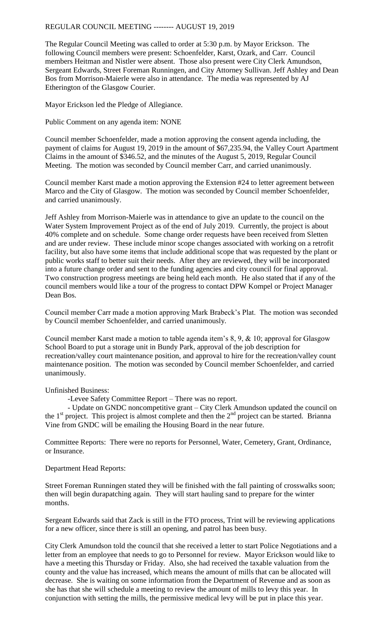The Regular Council Meeting was called to order at 5:30 p.m. by Mayor Erickson. The following Council members were present: Schoenfelder, Karst, Ozark, and Carr. Council members Heitman and Nistler were absent. Those also present were City Clerk Amundson, Sergeant Edwards, Street Foreman Runningen, and City Attorney Sullivan. Jeff Ashley and Dean Bos from Morrison-Maierle were also in attendance. The media was represented by AJ Etherington of the Glasgow Courier.

Mayor Erickson led the Pledge of Allegiance.

Public Comment on any agenda item: NONE

Council member Schoenfelder, made a motion approving the consent agenda including, the payment of claims for August 19, 2019 in the amount of \$67,235.94, the Valley Court Apartment Claims in the amount of \$346.52, and the minutes of the August 5, 2019, Regular Council Meeting. The motion was seconded by Council member Carr, and carried unanimously.

Council member Karst made a motion approving the Extension #24 to letter agreement between Marco and the City of Glasgow. The motion was seconded by Council member Schoenfelder, and carried unanimously.

Jeff Ashley from Morrison-Maierle was in attendance to give an update to the council on the Water System Improvement Project as of the end of July 2019. Currently, the project is about 40% complete and on schedule. Some change order requests have been received from Sletten and are under review. These include minor scope changes associated with working on a retrofit facility, but also have some items that include additional scope that was requested by the plant or public works staff to better suit their needs. After they are reviewed, they will be incorporated into a future change order and sent to the funding agencies and city council for final approval. Two construction progress meetings are being held each month. He also stated that if any of the council members would like a tour of the progress to contact DPW Kompel or Project Manager Dean Bos.

Council member Carr made a motion approving Mark Brabeck's Plat. The motion was seconded by Council member Schoenfelder, and carried unanimously.

Council member Karst made a motion to table agenda item's 8, 9, & 10; approval for Glasgow School Board to put a storage unit in Bundy Park, approval of the job description for recreation/valley court maintenance position, and approval to hire for the recreation/valley count maintenance position. The motion was seconded by Council member Schoenfelder, and carried unanimously.

Unfinished Business:

-Levee Safety Committee Report – There was no report.

- Update on GNDC noncompetitive grant – City Clerk Amundson updated the council on the  $1<sup>st</sup>$  project. This project is almost complete and then the  $2<sup>nd</sup>$  project can be started. Brianna Vine from GNDC will be emailing the Housing Board in the near future.

Committee Reports: There were no reports for Personnel, Water, Cemetery, Grant, Ordinance, or Insurance.

Department Head Reports:

Street Foreman Runningen stated they will be finished with the fall painting of crosswalks soon; then will begin durapatching again. They will start hauling sand to prepare for the winter months.

Sergeant Edwards said that Zack is still in the FTO process, Trint will be reviewing applications for a new officer, since there is still an opening, and patrol has been busy.

City Clerk Amundson told the council that she received a letter to start Police Negotiations and a letter from an employee that needs to go to Personnel for review. Mayor Erickson would like to have a meeting this Thursday or Friday. Also, she had received the taxable valuation from the county and the value has increased, which means the amount of mills that can be allocated will decrease. She is waiting on some information from the Department of Revenue and as soon as she has that she will schedule a meeting to review the amount of mills to levy this year. In conjunction with setting the mills, the permissive medical levy will be put in place this year.